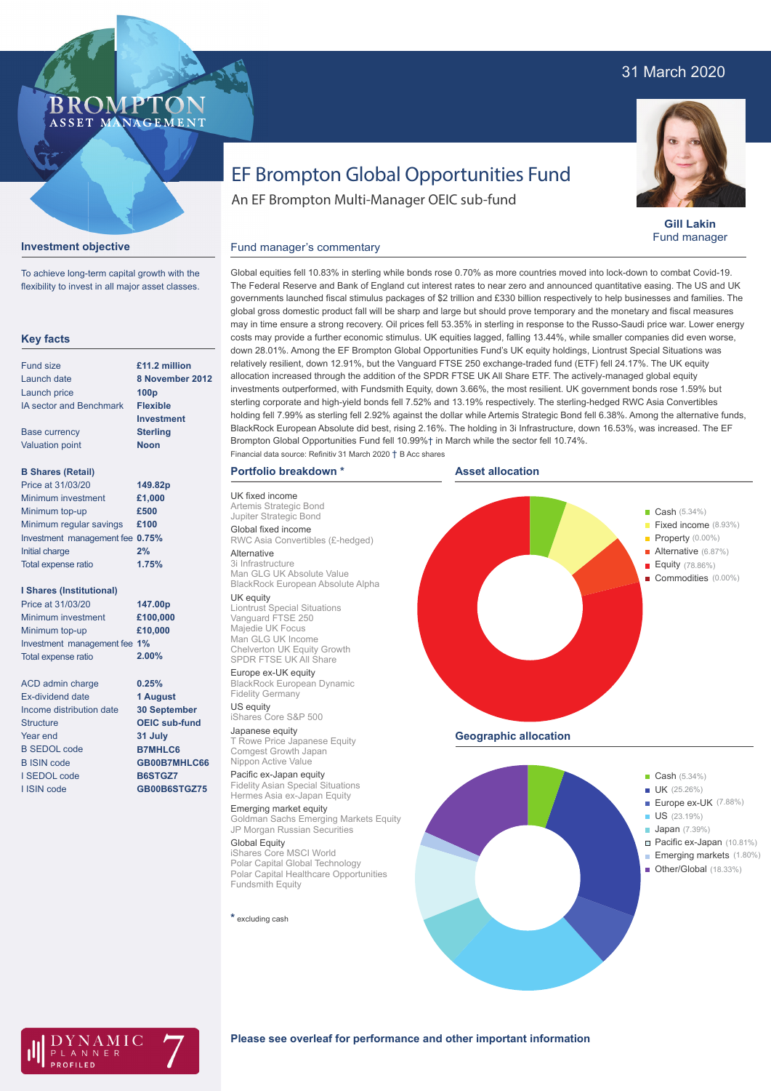# 31 March 2020



**Gill Lakin** Fund manager

# EF Brompton Global Opportunities Fund

An EF Brompton Multi-Manager OEIC sub-fund

## **Investment objective**

BROMP

ASSET MANAGEMENT

To achieve long-term capital growth with the flexibility to invest in all major asset classes.

### **Key facts**

| Fund size                      | £11.2 million    |
|--------------------------------|------------------|
| Launch date                    | 8 November 2012  |
| Launch price                   | 100 <sub>p</sub> |
| <b>IA sector and Benchmark</b> | <b>Flexible</b>  |
|                                | Investment       |
| <b>Base currency</b>           | <b>Sterling</b>  |
| <b>Valuation point</b>         | <b>Noon</b>      |
| <b>B Shares (Retail)</b>       |                  |
| Price at 31/03/20              | 149.82p          |
| Minimum investment             | £1,000           |
| Minimum top-up                 | £500             |
| Minimum regular savings        | £100             |

|                                 | ------ |
|---------------------------------|--------|
| Minimum top-up                  | £500   |
| Minimum regular savings         | £100   |
| Investment management fee 0.75% |        |
| Initial charge                  | 2%     |
| Total expense ratio             | 1.75%  |

### **I Shares (Institutional)**

| Price at 31/03/20            | 147.00p  |
|------------------------------|----------|
| Minimum investment           | £100,000 |
| Minimum top-up               | £10,000  |
| Investment management fee 1% |          |
| <b>Total expense ratio</b>   | 2.00%    |
|                              |          |

**0.25% 1 August 30 September OEIC sub-fund 31 July B7MHLC6 GB00B7MHLC66 B6STGZ7 GB00B6STGZ75**

ACD admin charge Ex-dividend date Income distribution date **Structure** Year end B SEDOL code B ISIN code I SEDOL code I ISIN code

Global equities fell 10.83% in sterling while bonds rose 0.70% as more countries moved into lock-down to combat Covid-19. The Federal Reserve and Bank of England cut interest rates to near zero and announced quantitative easing. The US and UK governments launched fiscal stimulus packages of \$2 trillion and £330 billion respectively to help businesses and families. The global gross domestic product fall will be sharp and large but should prove temporary and the monetary and fiscal measures may in time ensure a strong recovery. Oil prices fell 53.35% in sterling in response to the Russo-Saudi price war. Lower energy costs may provide a further economic stimulus. UK equities lagged, falling 13.44%, while smaller companies did even worse, down 28.01%. Among the EF Brompton Global Opportunities Fund's UK equity holdings, Liontrust Special Situations was relatively resilient, down 12.91%, but the Vanguard FTSE 250 exchange-traded fund (ETF) fell 24.17%. The UK equity allocation increased through the addition of the SPDR FTSE UK All Share ETF. The actively-managed global equity investments outperformed, with Fundsmith Equity, down 3.66%, the most resilient. UK government bonds rose 1.59% but sterling corporate and high-yield bonds fell 7.52% and 13.19% respectively. The sterling-hedged RWC Asia Convertibles holding fell 7.99% as sterling fell 2.92% against the dollar while Artemis Strategic Bond fell 6.38%. Among the alternative funds, BlackRock European Absolute did best, rising 2.16%. The holding in 3i Infrastructure, down 16.53%, was increased. The EF

Brompton Global Opportunities Fund fell 10.99%† in March while the sector fell 10.74%.

## **Portfolio breakdown \***

Financial data source: Refinitiv 31 March 2020 † B Acc shares

Fund manager's commentary

UK fixed income Artemis Strategic Bond Jupiter Strategic Bond Global fixed income RWC Asia Convertibles (£-hedged)

# Alternative

3i Infrastructure Man GLG UK Absolute Value BlackRock European Absolute Alpha

UK equity Liontrust Special Situations Vanguard FTSE 250 Majedie UK Focus Man GLG UK Income Chelverton UK Equity Growth SPDR FTSE UK All Share

#### Europe ex-UK equity

BlackRock European Dynamic Fidelity Germany US equity

# iShares Core S&P 500

Japanese equity T Rowe Price Japanese Equity Comgest Growth Japan Nippon Active Value

#### Pacific ex-Japan equity Fidelity Asian Special Situations Hermes Asia ex-Japan Equity

Emerging market equity Goldman Sachs Emerging Markets Equity JP Morgan Russian Securities

Global Equity iShares Core MSCI World Polar Capital Global Technology Polar Capital Healthcare Opportunities Fundsmith Equity

#### **\*** excluding cash



**Geographic allocation**





#### **Please see overleaf for performance and other important information**